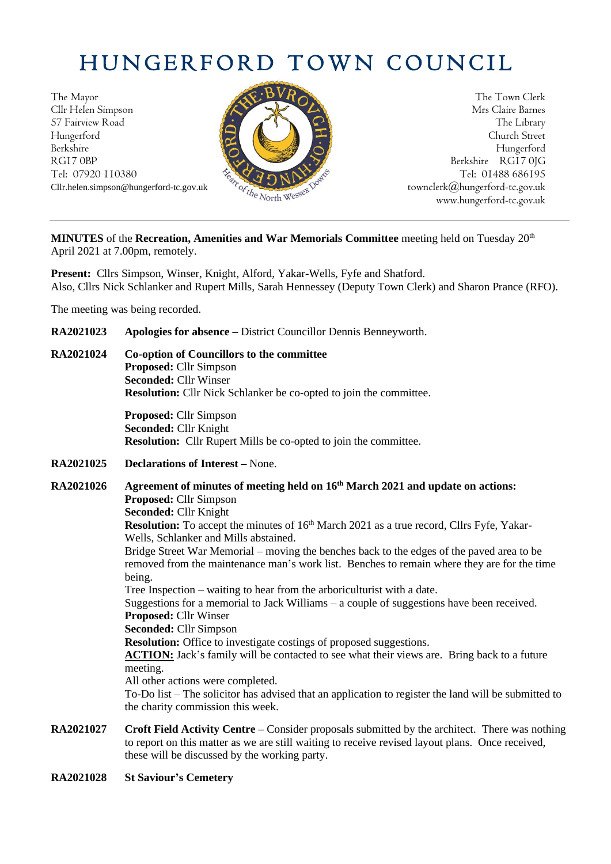## HUNGERFORD TOWN COUNCIL

The Mayor The Town Clerk Cllr Helen Simpson Mrs Claire Barnes 57 Fairview Road The Library (1999) and the Library (1999) and the Library (1999) and the Library (1999) and the Library (1999) and the Library (1999) and the Library (1999) and the Library (1999) and the Library (1999) an Hungerford Church Street Berkshire Hungerford RG17 0BP Berkshire RG17 0JG Tel: 07920 110380  $\frac{1}{2} \sqrt{2} \sqrt{2} N N^2$ 



Cllr.helen.simpson@hungerford-tc.gov.uk [townclerk@hungerford-tc.gov.uk](mailto:townclerk@hungerford-tc.gov.uk) townclerk@hungerford-tc.gov.uk www.hungerford-tc.gov.uk www.hungerford-tc.gov.uk

MINUTES of the Recreation, Amenities and War Memorials Committee meeting held on Tuesday 20<sup>th</sup> April 2021 at 7.00pm, remotely.

**Present:** Cllrs Simpson, Winser, Knight, Alford, Yakar-Wells, Fyfe and Shatford. Also, Cllrs Nick Schlanker and Rupert Mills, Sarah Hennessey (Deputy Town Clerk) and Sharon Prance (RFO).

The meeting was being recorded.

- **RA2021023 Apologies for absence –** District Councillor Dennis Benneyworth.
- **RA2021024 Co-option of Councillors to the committee Proposed:** Cllr Simpson **Seconded:** Cllr Winser **Resolution:** Cllr Nick Schlanker be co-opted to join the committee.

**Proposed:** Cllr Simpson **Seconded:** Cllr Knight **Resolution:** Cllr Rupert Mills be co-opted to join the committee.

**RA2021025 Declarations of Interest –** None.

**RA2021026 Agreement of minutes of meeting held on 16 th March 2021 and update on actions: Proposed:** Cllr Simpson **Seconded:** Cllr Knight **Resolution:** To accept the minutes of 16<sup>th</sup> March 2021 as a true record, Cllrs Fyfe, Yakar-Wells, Schlanker and Mills abstained. Bridge Street War Memorial – moving the benches back to the edges of the paved area to be removed from the maintenance man's work list. Benches to remain where they are for the time being. Tree Inspection – waiting to hear from the arboriculturist with a date. Suggestions for a memorial to Jack Williams – a couple of suggestions have been received. **Proposed:** Cllr Winser **Seconded:** Cllr Simpson **Resolution:** Office to investigate costings of proposed suggestions. **ACTION:** Jack's family will be contacted to see what their views are. Bring back to a future meeting. All other actions were completed. To-Do list – The solicitor has advised that an application to register the land will be submitted to the charity commission this week.

- **RA2021027 Croft Field Activity Centre –** Consider proposals submitted by the architect. There was nothing to report on this matter as we are still waiting to receive revised layout plans. Once received, these will be discussed by the working party.
- **RA2021028 St Saviour's Cemetery**